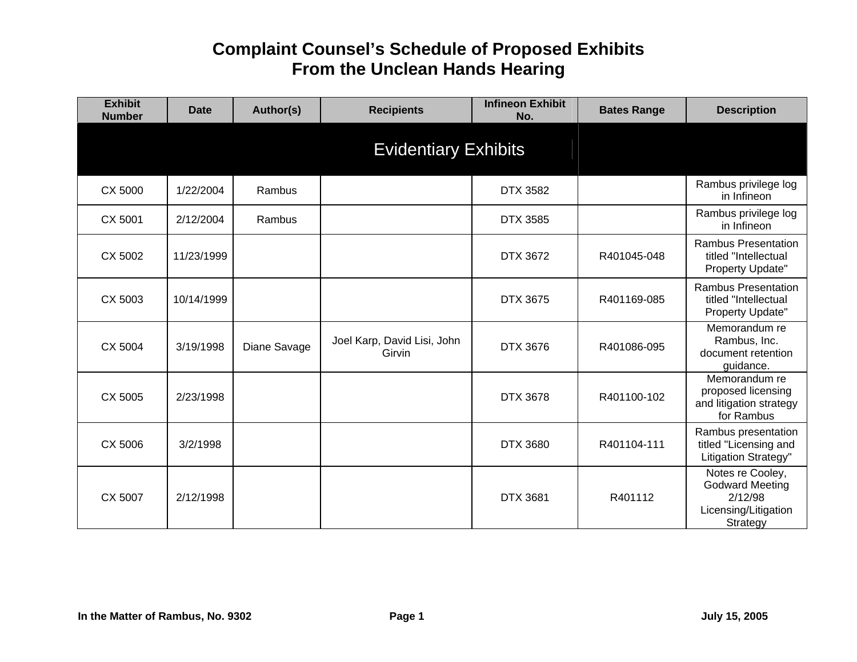| <b>Exhibit</b><br><b>Number</b> | <b>Date</b> | Author(s)    | <b>Recipients</b>                     | <b>Infineon Exhibit</b><br>No. | <b>Bates Range</b> | <b>Description</b>                                                                        |
|---------------------------------|-------------|--------------|---------------------------------------|--------------------------------|--------------------|-------------------------------------------------------------------------------------------|
|                                 |             |              | <b>Evidentiary Exhibits</b>           |                                |                    |                                                                                           |
| CX 5000                         | 1/22/2004   | Rambus       |                                       | <b>DTX 3582</b>                |                    | Rambus privilege log<br>in Infineon                                                       |
| CX 5001                         | 2/12/2004   | Rambus       |                                       | <b>DTX 3585</b>                |                    | Rambus privilege log<br>in Infineon                                                       |
| CX 5002                         | 11/23/1999  |              |                                       | DTX 3672                       | R401045-048        | <b>Rambus Presentation</b><br>titled "Intellectual<br>Property Update"                    |
| CX 5003                         | 10/14/1999  |              |                                       | <b>DTX 3675</b>                | R401169-085        | <b>Rambus Presentation</b><br>titled "Intellectual<br>Property Update"                    |
| CX 5004                         | 3/19/1998   | Diane Savage | Joel Karp, David Lisi, John<br>Girvin | DTX 3676                       | R401086-095        | Memorandum re<br>Rambus, Inc.<br>document retention<br>guidance.                          |
| CX 5005                         | 2/23/1998   |              |                                       | <b>DTX 3678</b>                | R401100-102        | Memorandum re<br>proposed licensing<br>and litigation strategy<br>for Rambus              |
| CX 5006                         | 3/2/1998    |              |                                       | <b>DTX 3680</b>                | R401104-111        | Rambus presentation<br>titled "Licensing and<br>Litigation Strategy"                      |
| CX 5007                         | 2/12/1998   |              |                                       | <b>DTX 3681</b>                | R401112            | Notes re Cooley,<br><b>Godward Meeting</b><br>2/12/98<br>Licensing/Litigation<br>Strategy |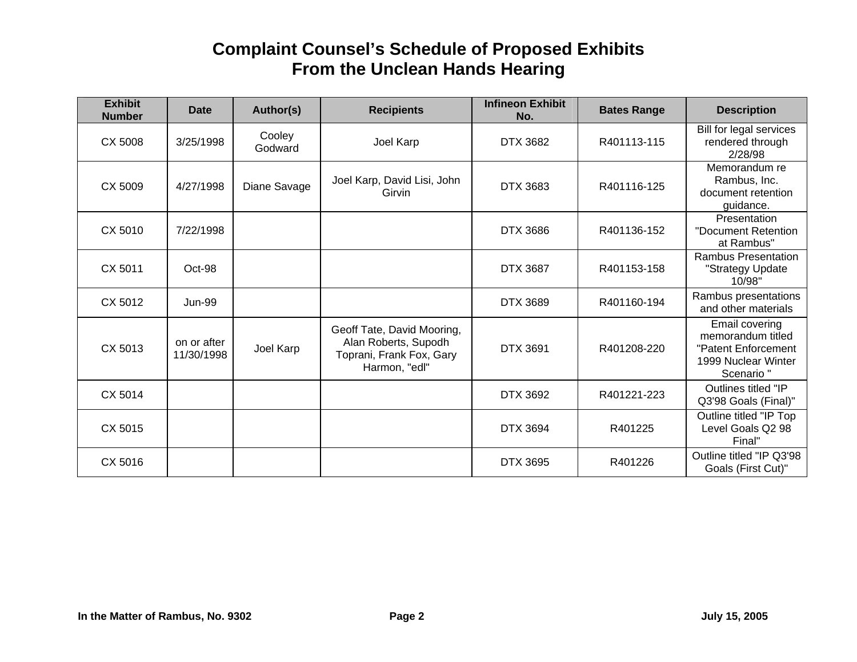| <b>Exhibit</b><br><b>Number</b> | Date                      | Author(s)         | <b>Recipients</b>                                                                               | <b>Infineon Exhibit</b><br>No. | <b>Bates Range</b> | <b>Description</b>                                                                             |
|---------------------------------|---------------------------|-------------------|-------------------------------------------------------------------------------------------------|--------------------------------|--------------------|------------------------------------------------------------------------------------------------|
| CX 5008                         | 3/25/1998                 | Cooley<br>Godward | Joel Karp                                                                                       | <b>DTX 3682</b>                | R401113-115        | Bill for legal services<br>rendered through<br>2/28/98                                         |
| CX 5009                         | 4/27/1998                 | Diane Savage      | Joel Karp, David Lisi, John<br>Girvin                                                           | DTX 3683                       | R401116-125        | Memorandum re<br>Rambus, Inc.<br>document retention<br>guidance.                               |
| CX 5010                         | 7/22/1998                 |                   |                                                                                                 | <b>DTX 3686</b>                | R401136-152        | Presentation<br>"Document Retention<br>at Rambus"                                              |
| CX 5011                         | Oct-98                    |                   |                                                                                                 | <b>DTX 3687</b>                | R401153-158        | <b>Rambus Presentation</b><br>"Strategy Update<br>10/98"                                       |
| CX 5012                         | <b>Jun-99</b>             |                   |                                                                                                 | <b>DTX 3689</b>                | R401160-194        | Rambus presentations<br>and other materials                                                    |
| CX 5013                         | on or after<br>11/30/1998 | Joel Karp         | Geoff Tate, David Mooring,<br>Alan Roberts, Supodh<br>Toprani, Frank Fox, Gary<br>Harmon, "edl" | <b>DTX 3691</b>                | R401208-220        | Email covering<br>memorandum titled<br>"Patent Enforcement<br>1999 Nuclear Winter<br>Scenario" |
| CX 5014                         |                           |                   |                                                                                                 | DTX 3692                       | R401221-223        | Outlines titled "IP<br>Q3'98 Goals (Final)"                                                    |
| CX 5015                         |                           |                   |                                                                                                 | <b>DTX 3694</b>                | R401225            | Outline titled "IP Top<br>Level Goals Q2 98<br>Final"                                          |
| CX 5016                         |                           |                   |                                                                                                 | <b>DTX 3695</b>                | R401226            | Outline titled "IP Q3'98<br>Goals (First Cut)"                                                 |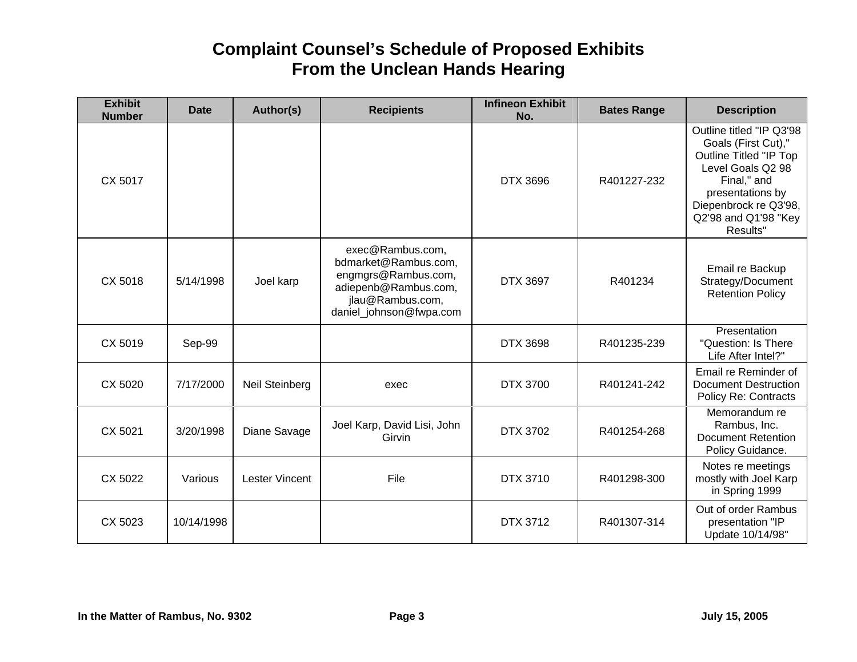| <b>Exhibit</b><br><b>Number</b> | <b>Date</b> | Author(s)             | <b>Recipients</b>                                                                                                                      | <b>Infineon Exhibit</b><br>No. | <b>Bates Range</b> | <b>Description</b>                                                                                                                                                                                    |
|---------------------------------|-------------|-----------------------|----------------------------------------------------------------------------------------------------------------------------------------|--------------------------------|--------------------|-------------------------------------------------------------------------------------------------------------------------------------------------------------------------------------------------------|
| CX 5017                         |             |                       |                                                                                                                                        | DTX 3696                       | R401227-232        | Outline titled "IP Q3'98<br>Goals (First Cut),"<br><b>Outline Titled "IP Top</b><br>Level Goals Q2 98<br>Final," and<br>presentations by<br>Diepenbrock re Q3'98,<br>Q2'98 and Q1'98 "Key<br>Results" |
| CX 5018                         | 5/14/1998   | Joel karp             | exec@Rambus.com,<br>bdmarket@Rambus.com,<br>engmgrs@Rambus.com,<br>adiepenb@Rambus.com,<br>jlau@Rambus.com,<br>daniel_johnson@fwpa.com | <b>DTX 3697</b>                | R401234            | Email re Backup<br>Strategy/Document<br><b>Retention Policy</b>                                                                                                                                       |
| CX 5019                         | Sep-99      |                       |                                                                                                                                        | DTX 3698                       | R401235-239        | Presentation<br>"Question: Is There<br>Life After Intel?"                                                                                                                                             |
| CX 5020                         | 7/17/2000   | <b>Neil Steinberg</b> | exec                                                                                                                                   | DTX 3700                       | R401241-242        | Email re Reminder of<br><b>Document Destruction</b><br><b>Policy Re: Contracts</b>                                                                                                                    |
| CX 5021                         | 3/20/1998   | Diane Savage          | Joel Karp, David Lisi, John<br>Girvin                                                                                                  | <b>DTX 3702</b>                | R401254-268        | Memorandum re<br>Rambus, Inc.<br><b>Document Retention</b><br>Policy Guidance.                                                                                                                        |
| CX 5022                         | Various     | <b>Lester Vincent</b> | File                                                                                                                                   | DTX 3710                       | R401298-300        | Notes re meetings<br>mostly with Joel Karp<br>in Spring 1999                                                                                                                                          |
| CX 5023                         | 10/14/1998  |                       |                                                                                                                                        | DTX 3712                       | R401307-314        | Out of order Rambus<br>presentation "IP<br>Update 10/14/98"                                                                                                                                           |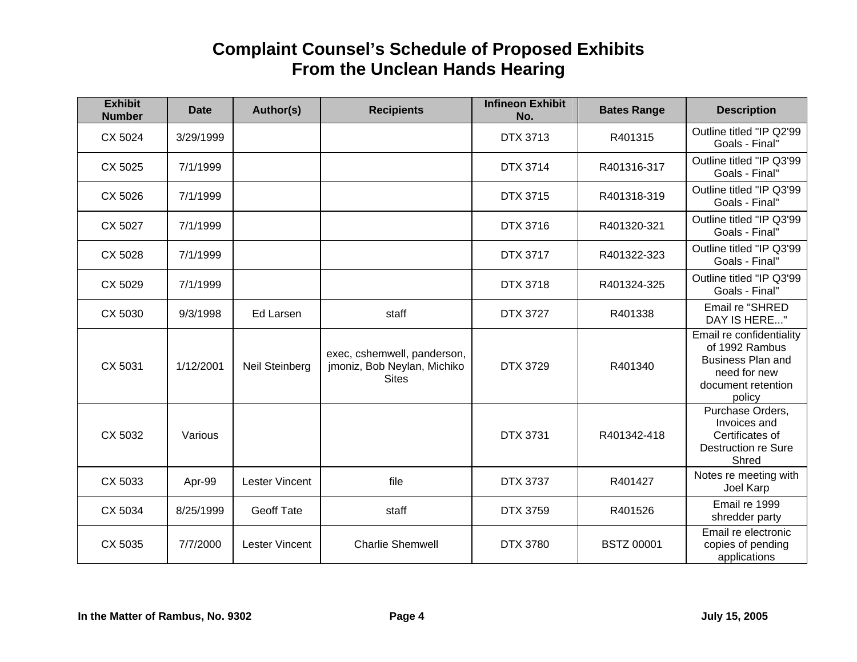| <b>Exhibit</b><br><b>Number</b> | <b>Date</b> | Author(s)             | <b>Recipients</b>                                                          | <b>Infineon Exhibit</b><br>No. | <b>Bates Range</b> | <b>Description</b>                                                                                                     |
|---------------------------------|-------------|-----------------------|----------------------------------------------------------------------------|--------------------------------|--------------------|------------------------------------------------------------------------------------------------------------------------|
| CX 5024                         | 3/29/1999   |                       |                                                                            | DTX 3713                       | R401315            | Outline titled "IP Q2'99<br>Goals - Final"                                                                             |
| CX 5025                         | 7/1/1999    |                       |                                                                            | <b>DTX 3714</b>                | R401316-317        | Outline titled "IP Q3'99<br>Goals - Final"                                                                             |
| CX 5026                         | 7/1/1999    |                       |                                                                            | <b>DTX 3715</b>                | R401318-319        | Outline titled "IP Q3'99<br>Goals - Final"                                                                             |
| CX 5027                         | 7/1/1999    |                       |                                                                            | DTX 3716                       | R401320-321        | Outline titled "IP Q3'99<br>Goals - Final"                                                                             |
| CX 5028                         | 7/1/1999    |                       |                                                                            | <b>DTX 3717</b>                | R401322-323        | Outline titled "IP Q3'99<br>Goals - Final"                                                                             |
| CX 5029                         | 7/1/1999    |                       |                                                                            | DTX 3718                       | R401324-325        | Outline titled "IP Q3'99<br>Goals - Final"                                                                             |
| CX 5030                         | 9/3/1998    | <b>Ed Larsen</b>      | staff                                                                      | <b>DTX 3727</b>                | R401338            | Email re "SHRED<br>DAY IS HERE"                                                                                        |
| CX 5031                         | 1/12/2001   | Neil Steinberg        | exec, cshemwell, panderson,<br>jmoniz, Bob Neylan, Michiko<br><b>Sites</b> | DTX 3729                       | R401340            | Email re confidentiality<br>of 1992 Rambus<br><b>Business Plan and</b><br>need for new<br>document retention<br>policy |
| CX 5032                         | Various     |                       |                                                                            | DTX 3731                       | R401342-418        | Purchase Orders,<br>Invoices and<br>Certificates of<br>Destruction re Sure<br>Shred                                    |
| CX 5033                         | Apr-99      | <b>Lester Vincent</b> | file                                                                       | <b>DTX 3737</b>                | R401427            | Notes re meeting with<br>Joel Karp                                                                                     |
| CX 5034                         | 8/25/1999   | <b>Geoff Tate</b>     | staff                                                                      | <b>DTX 3759</b>                | R401526            | Email re 1999<br>shredder party                                                                                        |
| CX 5035                         | 7/7/2000    | <b>Lester Vincent</b> | <b>Charlie Shemwell</b>                                                    | <b>DTX 3780</b>                | <b>BSTZ 00001</b>  | Email re electronic<br>copies of pending<br>applications                                                               |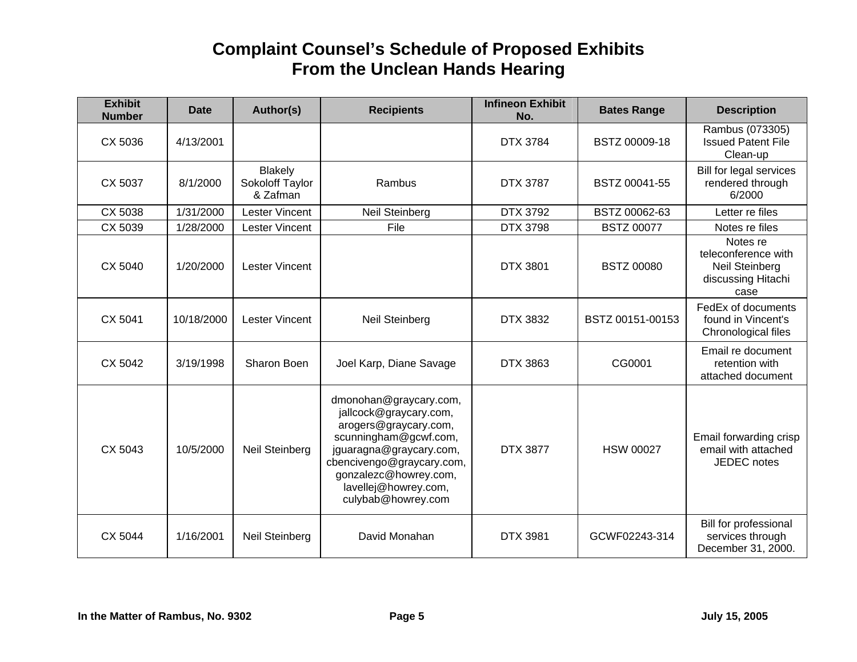| <b>Exhibit</b><br><b>Number</b> | <b>Date</b> | Author(s)                                     | <b>Recipients</b>                                                                                                                                                                                                                 | <b>Infineon Exhibit</b><br>No. | <b>Bates Range</b> | <b>Description</b>                                                                     |
|---------------------------------|-------------|-----------------------------------------------|-----------------------------------------------------------------------------------------------------------------------------------------------------------------------------------------------------------------------------------|--------------------------------|--------------------|----------------------------------------------------------------------------------------|
| CX 5036                         | 4/13/2001   |                                               |                                                                                                                                                                                                                                   | <b>DTX 3784</b>                | BSTZ 00009-18      | Rambus (073305)<br><b>Issued Patent File</b><br>Clean-up                               |
| CX 5037                         | 8/1/2000    | <b>Blakely</b><br>Sokoloff Taylor<br>& Zafman | Rambus                                                                                                                                                                                                                            | <b>DTX 3787</b>                | BSTZ 00041-55      | Bill for legal services<br>rendered through<br>6/2000                                  |
| CX 5038                         | 1/31/2000   | Lester Vincent                                | Neil Steinberg                                                                                                                                                                                                                    | <b>DTX 3792</b>                | BSTZ 00062-63      | Letter re files                                                                        |
| CX 5039                         | 1/28/2000   | <b>Lester Vincent</b>                         | File                                                                                                                                                                                                                              | <b>DTX 3798</b>                | <b>BSTZ 00077</b>  | Notes re files                                                                         |
| CX 5040                         | 1/20/2000   | <b>Lester Vincent</b>                         |                                                                                                                                                                                                                                   | <b>DTX 3801</b>                | <b>BSTZ 00080</b>  | Notes re<br>teleconference with<br><b>Neil Steinberg</b><br>discussing Hitachi<br>case |
| CX 5041                         | 10/18/2000  | <b>Lester Vincent</b>                         | Neil Steinberg                                                                                                                                                                                                                    | DTX 3832                       | BSTZ 00151-00153   | FedEx of documents<br>found in Vincent's<br>Chronological files                        |
| CX 5042                         | 3/19/1998   | Sharon Boen                                   | Joel Karp, Diane Savage                                                                                                                                                                                                           | DTX 3863                       | CG0001             | Email re document<br>retention with<br>attached document                               |
| CX 5043                         | 10/5/2000   | Neil Steinberg                                | dmonohan@graycary.com,<br>jallcock@graycary.com,<br>arogers@graycary.com,<br>scunningham@gcwf.com,<br>jguaragna@graycary.com,<br>cbencivengo@graycary.com,<br>gonzalezc@howrey.com,<br>lavellej@howrey.com,<br>culybab@howrey.com | <b>DTX 3877</b>                | <b>HSW 00027</b>   | Email forwarding crisp<br>email with attached<br><b>JEDEC</b> notes                    |
| CX 5044                         | 1/16/2001   | Neil Steinberg                                | David Monahan                                                                                                                                                                                                                     | <b>DTX 3981</b>                | GCWF02243-314      | Bill for professional<br>services through<br>December 31, 2000.                        |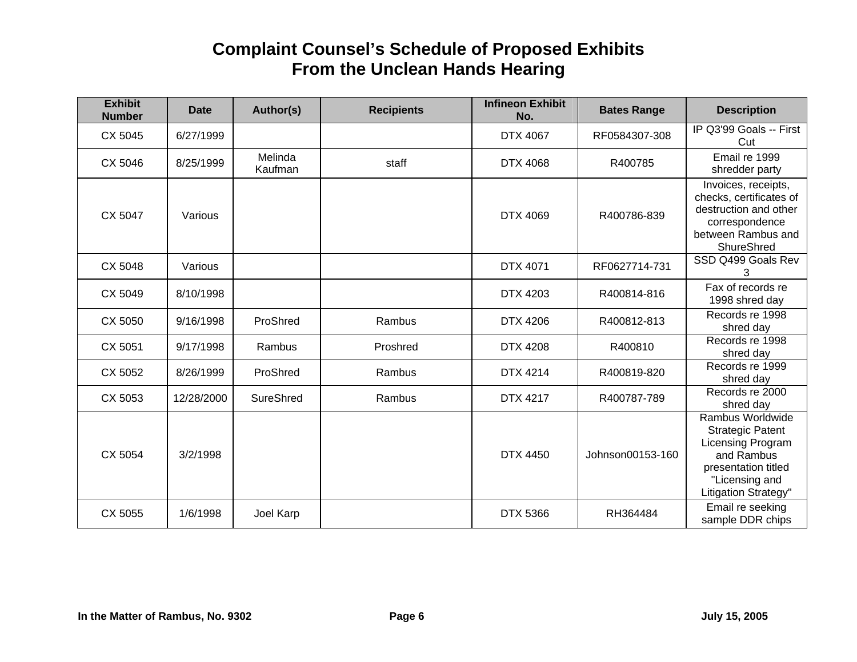| <b>Exhibit</b><br><b>Number</b> | <b>Date</b> | Author(s)          | <b>Recipients</b> | <b>Infineon Exhibit</b><br>No. | <b>Bates Range</b> | <b>Description</b>                                                                                                                              |
|---------------------------------|-------------|--------------------|-------------------|--------------------------------|--------------------|-------------------------------------------------------------------------------------------------------------------------------------------------|
| CX 5045                         | 6/27/1999   |                    |                   | DTX 4067                       | RF0584307-308      | IP Q3'99 Goals -- First<br>Cut                                                                                                                  |
| CX 5046                         | 8/25/1999   | Melinda<br>Kaufman | staff             | <b>DTX 4068</b>                | R400785            | Email re 1999<br>shredder party                                                                                                                 |
| CX 5047                         | Various     |                    |                   | <b>DTX 4069</b>                | R400786-839        | Invoices, receipts,<br>checks, certificates of<br>destruction and other<br>correspondence<br>between Rambus and<br>ShureShred                   |
| CX 5048                         | Various     |                    |                   | DTX 4071                       | RF0627714-731      | SSD Q499 Goals Rev<br>3                                                                                                                         |
| CX 5049                         | 8/10/1998   |                    |                   | <b>DTX 4203</b>                | R400814-816        | Fax of records re<br>1998 shred day                                                                                                             |
| CX 5050                         | 9/16/1998   | ProShred           | Rambus            | DTX 4206                       | R400812-813        | Records re 1998<br>shred day                                                                                                                    |
| CX 5051                         | 9/17/1998   | Rambus             | Proshred          | <b>DTX 4208</b>                | R400810            | Records re 1998<br>shred day                                                                                                                    |
| CX 5052                         | 8/26/1999   | ProShred           | Rambus            | DTX 4214                       | R400819-820        | Records re 1999<br>shred day                                                                                                                    |
| CX 5053                         | 12/28/2000  | SureShred          | Rambus            | <b>DTX 4217</b>                | R400787-789        | Records re 2000<br>shred day                                                                                                                    |
| CX 5054                         | 3/2/1998    |                    |                   | <b>DTX 4450</b>                | Johnson00153-160   | Rambus Worldwide<br><b>Strategic Patent</b><br>Licensing Program<br>and Rambus<br>presentation titled<br>"Licensing and<br>Litigation Strategy" |
| CX 5055                         | 1/6/1998    | Joel Karp          |                   | <b>DTX 5366</b>                | RH364484           | Email re seeking<br>sample DDR chips                                                                                                            |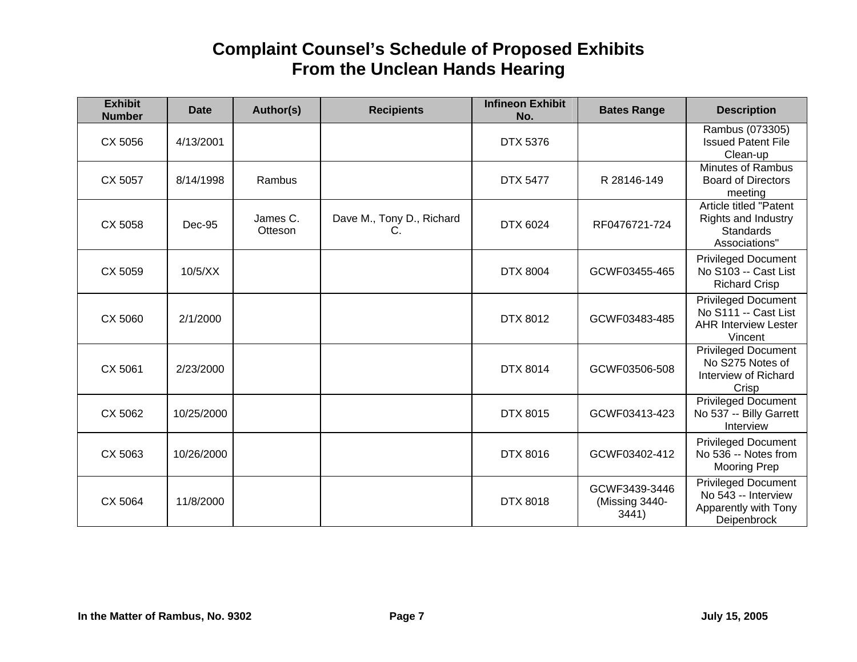| <b>Exhibit</b><br><b>Number</b> | <b>Date</b> | Author(s)           | <b>Recipients</b>               | <b>Infineon Exhibit</b><br>No. | <b>Bates Range</b>                       | <b>Description</b>                                                                           |
|---------------------------------|-------------|---------------------|---------------------------------|--------------------------------|------------------------------------------|----------------------------------------------------------------------------------------------|
| CX 5056                         | 4/13/2001   |                     |                                 | <b>DTX 5376</b>                |                                          | Rambus (073305)<br><b>Issued Patent File</b><br>Clean-up                                     |
| CX 5057                         | 8/14/1998   | Rambus              |                                 | <b>DTX 5477</b>                | R 28146-149                              | <b>Minutes of Rambus</b><br><b>Board of Directors</b><br>meeting                             |
| CX 5058                         | Dec-95      | James C.<br>Otteson | Dave M., Tony D., Richard<br>C. | DTX 6024                       | RF0476721-724                            | Article titled "Patent<br><b>Rights and Industry</b><br><b>Standards</b><br>Associations"    |
| CX 5059                         | 10/5/XX     |                     |                                 | <b>DTX 8004</b>                | GCWF03455-465                            | <b>Privileged Document</b><br>No S103 -- Cast List<br><b>Richard Crisp</b>                   |
| CX 5060                         | 2/1/2000    |                     |                                 | <b>DTX 8012</b>                | GCWF03483-485                            | <b>Privileged Document</b><br>No S111 -- Cast List<br><b>AHR Interview Lester</b><br>Vincent |
| CX 5061                         | 2/23/2000   |                     |                                 | <b>DTX 8014</b>                | GCWF03506-508                            | <b>Privileged Document</b><br>No S275 Notes of<br>Interview of Richard<br>Crisp              |
| CX 5062                         | 10/25/2000  |                     |                                 | DTX 8015                       | GCWF03413-423                            | Privileged Document<br>No 537 -- Billy Garrett<br>Interview                                  |
| CX 5063                         | 10/26/2000  |                     |                                 | DTX 8016                       | GCWF03402-412                            | <b>Privileged Document</b><br>No 536 -- Notes from<br><b>Mooring Prep</b>                    |
| CX 5064                         | 11/8/2000   |                     |                                 | <b>DTX 8018</b>                | GCWF3439-3446<br>(Missing 3440-<br>3441) | <b>Privileged Document</b><br>No 543 -- Interview<br>Apparently with Tony<br>Deipenbrock     |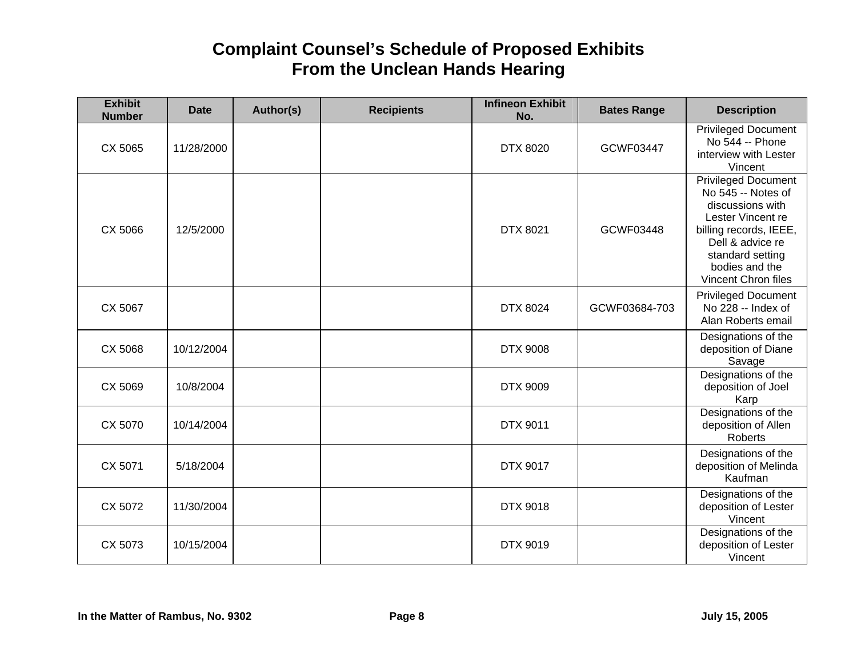| <b>Exhibit</b><br><b>Number</b> | <b>Date</b> | Author(s) | <b>Recipients</b> | <b>Infineon Exhibit</b><br>No. | <b>Bates Range</b> | <b>Description</b>                                                                                                                                                                            |
|---------------------------------|-------------|-----------|-------------------|--------------------------------|--------------------|-----------------------------------------------------------------------------------------------------------------------------------------------------------------------------------------------|
| CX 5065                         | 11/28/2000  |           |                   | <b>DTX 8020</b>                | GCWF03447          | <b>Privileged Document</b><br>No 544 -- Phone<br>interview with Lester<br>Vincent                                                                                                             |
| CX 5066                         | 12/5/2000   |           |                   | <b>DTX 8021</b>                | GCWF03448          | Privileged Document<br>No 545 -- Notes of<br>discussions with<br>Lester Vincent re<br>billing records, IEEE,<br>Dell & advice re<br>standard setting<br>bodies and the<br>Vincent Chron files |
| CX 5067                         |             |           |                   | <b>DTX 8024</b>                | GCWF03684-703      | <b>Privileged Document</b><br>No 228 -- Index of<br>Alan Roberts email                                                                                                                        |
| CX 5068                         | 10/12/2004  |           |                   | <b>DTX 9008</b>                |                    | Designations of the<br>deposition of Diane<br>Savage                                                                                                                                          |
| CX 5069                         | 10/8/2004   |           |                   | <b>DTX 9009</b>                |                    | Designations of the<br>deposition of Joel<br>Karp                                                                                                                                             |
| CX 5070                         | 10/14/2004  |           |                   | <b>DTX 9011</b>                |                    | Designations of the<br>deposition of Allen<br>Roberts                                                                                                                                         |
| CX 5071                         | 5/18/2004   |           |                   | <b>DTX 9017</b>                |                    | Designations of the<br>deposition of Melinda<br>Kaufman                                                                                                                                       |
| CX 5072                         | 11/30/2004  |           |                   | <b>DTX 9018</b>                |                    | Designations of the<br>deposition of Lester<br>Vincent                                                                                                                                        |
| CX 5073                         | 10/15/2004  |           |                   | <b>DTX 9019</b>                |                    | Designations of the<br>deposition of Lester<br>Vincent                                                                                                                                        |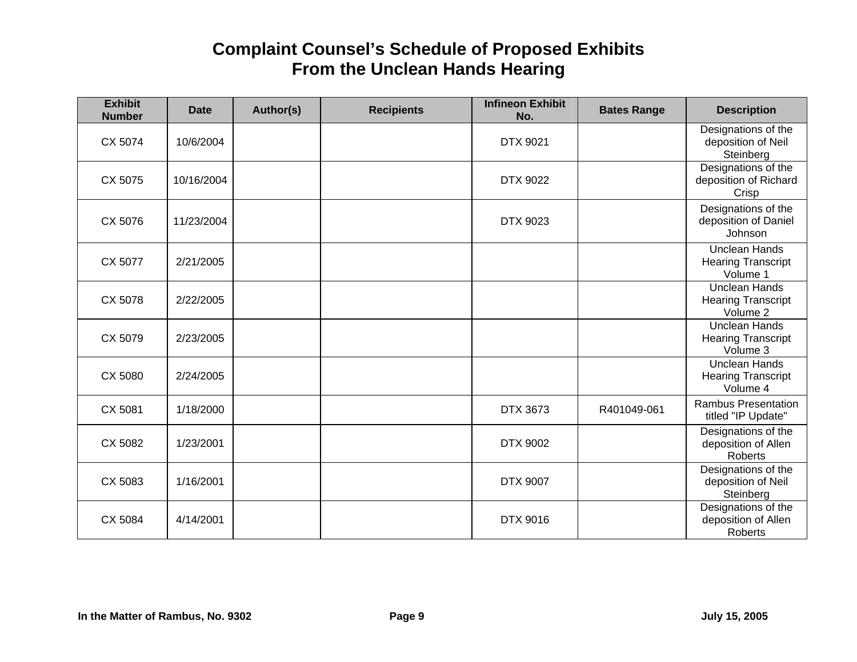| <b>Exhibit</b><br><b>Number</b> | <b>Date</b> | Author(s) | <b>Recipients</b> | <b>Infineon Exhibit</b><br>No. | <b>Bates Range</b> | <b>Description</b>                                            |
|---------------------------------|-------------|-----------|-------------------|--------------------------------|--------------------|---------------------------------------------------------------|
| CX 5074                         | 10/6/2004   |           |                   | <b>DTX 9021</b>                |                    | Designations of the<br>deposition of Neil<br>Steinberg        |
| CX 5075                         | 10/16/2004  |           |                   | DTX 9022                       |                    | Designations of the<br>deposition of Richard<br>Crisp         |
| CX 5076                         | 11/23/2004  |           |                   | DTX 9023                       |                    | Designations of the<br>deposition of Daniel<br>Johnson        |
| CX 5077                         | 2/21/2005   |           |                   |                                |                    | <b>Unclean Hands</b><br><b>Hearing Transcript</b><br>Volume 1 |
| CX 5078                         | 2/22/2005   |           |                   |                                |                    | <b>Unclean Hands</b><br><b>Hearing Transcript</b><br>Volume 2 |
| CX 5079                         | 2/23/2005   |           |                   |                                |                    | <b>Unclean Hands</b><br><b>Hearing Transcript</b><br>Volume 3 |
| CX 5080                         | 2/24/2005   |           |                   |                                |                    | <b>Unclean Hands</b><br><b>Hearing Transcript</b><br>Volume 4 |
| CX 5081                         | 1/18/2000   |           |                   | DTX 3673                       | R401049-061        | <b>Rambus Presentation</b><br>titled "IP Update"              |
| CX 5082                         | 1/23/2001   |           |                   | DTX 9002                       |                    | Designations of the<br>deposition of Allen<br><b>Roberts</b>  |
| CX 5083                         | 1/16/2001   |           |                   | <b>DTX 9007</b>                |                    | Designations of the<br>deposition of Neil<br>Steinberg        |
| CX 5084                         | 4/14/2001   |           |                   | DTX 9016                       |                    | Designations of the<br>deposition of Allen<br><b>Roberts</b>  |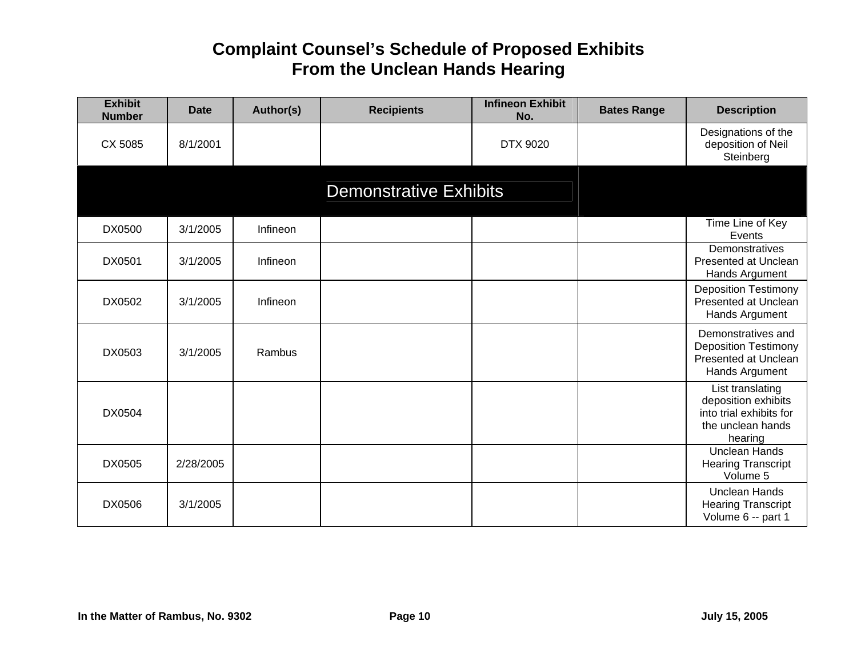| <b>Exhibit</b><br><b>Number</b> | <b>Date</b> | Author(s) | <b>Recipients</b>             | <b>Infineon Exhibit</b><br>No. | <b>Bates Range</b> | <b>Description</b>                                                                                 |
|---------------------------------|-------------|-----------|-------------------------------|--------------------------------|--------------------|----------------------------------------------------------------------------------------------------|
| CX 5085                         | 8/1/2001    |           |                               | DTX 9020                       |                    | Designations of the<br>deposition of Neil<br>Steinberg                                             |
|                                 |             |           | <b>Demonstrative Exhibits</b> |                                |                    |                                                                                                    |
| DX0500                          | 3/1/2005    | Infineon  |                               |                                |                    | Time Line of Key<br>Events                                                                         |
| DX0501                          | 3/1/2005    | Infineon  |                               |                                |                    | Demonstratives<br>Presented at Unclean<br>Hands Argument                                           |
| DX0502                          | 3/1/2005    | Infineon  |                               |                                |                    | <b>Deposition Testimony</b><br>Presented at Unclean<br>Hands Argument                              |
| DX0503                          | 3/1/2005    | Rambus    |                               |                                |                    | Demonstratives and<br><b>Deposition Testimony</b><br>Presented at Unclean<br>Hands Argument        |
| DX0504                          |             |           |                               |                                |                    | List translating<br>deposition exhibits<br>into trial exhibits for<br>the unclean hands<br>hearing |
| DX0505                          | 2/28/2005   |           |                               |                                |                    | <b>Unclean Hands</b><br><b>Hearing Transcript</b><br>Volume 5                                      |
| DX0506                          | 3/1/2005    |           |                               |                                |                    | <b>Unclean Hands</b><br><b>Hearing Transcript</b><br>Volume 6 -- part 1                            |